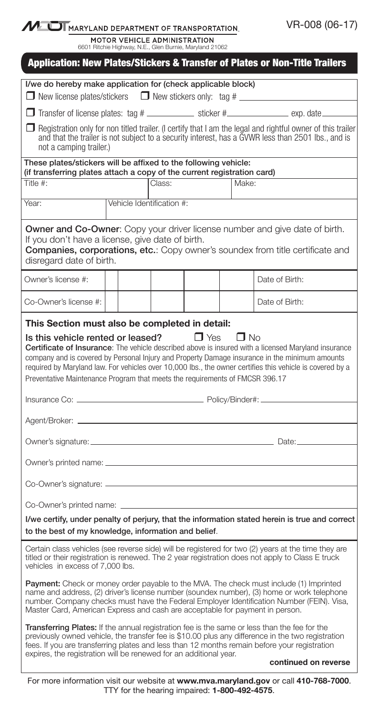MUI MARYLAND DEPARTMENT OF TRANSPORTATION.

MOTOR VEHICLE ADMINISTRATION<br>6601 Ritchie Highway, N.E., Glen Burnie, Maryland 21062

|                                                                                                                                                                                                                                                                                                                                                                                                                                                                                                                      |  |  |                           |  |  | <b>Application: New Plates/Stickers &amp; Transfer of Plates or Non-Title Trailers</b> |  |  |
|----------------------------------------------------------------------------------------------------------------------------------------------------------------------------------------------------------------------------------------------------------------------------------------------------------------------------------------------------------------------------------------------------------------------------------------------------------------------------------------------------------------------|--|--|---------------------------|--|--|----------------------------------------------------------------------------------------|--|--|
| I/we do hereby make application for (check applicable block)<br>□ New license plates/stickers □ New stickers only: tag # _______________________                                                                                                                                                                                                                                                                                                                                                                     |  |  |                           |  |  |                                                                                        |  |  |
|                                                                                                                                                                                                                                                                                                                                                                                                                                                                                                                      |  |  |                           |  |  |                                                                                        |  |  |
|                                                                                                                                                                                                                                                                                                                                                                                                                                                                                                                      |  |  |                           |  |  |                                                                                        |  |  |
| $\Box$ Registration only for non titled trailer. (I certify that I am the legal and rightful owner of this trailer<br>and that the trailer is not subject to a security interest, has a GVWR less than 2501 lbs., and is<br>not a camping trailer.)                                                                                                                                                                                                                                                                  |  |  |                           |  |  |                                                                                        |  |  |
| These plates/stickers will be affixed to the following vehicle:<br>(if transferring plates attach a copy of the current registration card)                                                                                                                                                                                                                                                                                                                                                                           |  |  |                           |  |  |                                                                                        |  |  |
| Title #:                                                                                                                                                                                                                                                                                                                                                                                                                                                                                                             |  |  | Class:                    |  |  | Make:                                                                                  |  |  |
| Year:                                                                                                                                                                                                                                                                                                                                                                                                                                                                                                                |  |  | Vehicle Identification #: |  |  |                                                                                        |  |  |
| <b>Owner and Co-Owner:</b> Copy your driver license number and give date of birth.<br>If you don't have a license, give date of birth.<br><b>Companies, corporations, etc.:</b> Copy owner's soundex from title certificate and<br>disregard date of birth.                                                                                                                                                                                                                                                          |  |  |                           |  |  |                                                                                        |  |  |
| Owner's license #:                                                                                                                                                                                                                                                                                                                                                                                                                                                                                                   |  |  |                           |  |  | Date of Birth:                                                                         |  |  |
| Co-Owner's license #:                                                                                                                                                                                                                                                                                                                                                                                                                                                                                                |  |  |                           |  |  | Date of Birth:                                                                         |  |  |
| This Section must also be completed in detail:<br>Is this vehicle rented or leased?<br>$\Box$ Yes<br>$\Box$ No<br>Certificate of Insurance: The vehicle described above is insured with a licensed Maryland insurance<br>company and is covered by Personal Injury and Property Damage insurance in the minimum amounts<br>required by Maryland law. For vehicles over 10,000 lbs., the owner certifies this vehicle is covered by a<br>Preventative Maintenance Program that meets the requirements of FMCSR 396.17 |  |  |                           |  |  |                                                                                        |  |  |
|                                                                                                                                                                                                                                                                                                                                                                                                                                                                                                                      |  |  |                           |  |  |                                                                                        |  |  |
|                                                                                                                                                                                                                                                                                                                                                                                                                                                                                                                      |  |  |                           |  |  |                                                                                        |  |  |
|                                                                                                                                                                                                                                                                                                                                                                                                                                                                                                                      |  |  |                           |  |  |                                                                                        |  |  |
|                                                                                                                                                                                                                                                                                                                                                                                                                                                                                                                      |  |  |                           |  |  |                                                                                        |  |  |
| I/we certify, under penalty of perjury, that the information stated herein is true and correct<br>to the best of my knowledge, information and belief.                                                                                                                                                                                                                                                                                                                                                               |  |  |                           |  |  |                                                                                        |  |  |
| Certain class vehicles (see reverse side) will be registered for two (2) years at the time they are<br>titled or their registration is renewed. The 2 year registration does not apply to Class E truck<br>vehicles in excess of 7,000 lbs.                                                                                                                                                                                                                                                                          |  |  |                           |  |  |                                                                                        |  |  |
| Payment: Check or money order payable to the MVA. The check must include (1) Imprinted<br>name and address, (2) driver's license number (soundex number), (3) home or work telephone<br>number. Company checks must have the Federal Employer Identification Number (FEIN). Visa,<br>Master Card, American Express and cash are acceptable for payment in person.                                                                                                                                                    |  |  |                           |  |  |                                                                                        |  |  |
| Transferring Plates: If the annual registration fee is the same or less than the fee for the<br>previously owned vehicle, the transfer fee is \$10.00 plus any difference in the two registration<br>fees. If you are transferring plates and less than 12 months remain before your registration<br>expires, the registration will be renewed for an additional year.                                                                                                                                               |  |  |                           |  |  |                                                                                        |  |  |
|                                                                                                                                                                                                                                                                                                                                                                                                                                                                                                                      |  |  |                           |  |  | continued on reverse                                                                   |  |  |

For more information visit our website at www.mva.maryland.gov or call 410-768-7000. TTY for the hearing impaired: 1-800-492-4575.